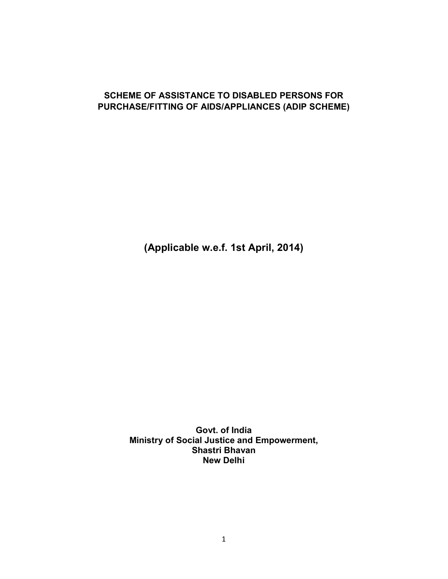### **SCHEME OF ASSISTANCE TO DISABLED PERSONS FOR PURCHASE/FITTING OF AIDS/APPLIANCES (ADIP SCHEME)**

**(Applicable w.e.f. 1st April, 2014)**

**Govt. of India Ministry of Social Justice and Empowerment, Shastri Bhavan New Delhi**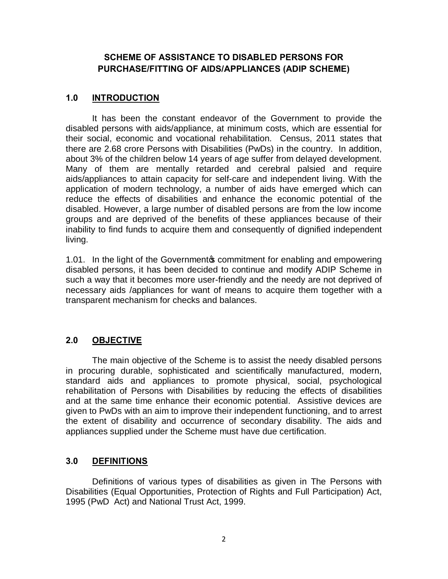## **SCHEME OF ASSISTANCE TO DISABLED PERSONS FOR PURCHASE/FITTING OF AIDS/APPLIANCES (ADIP SCHEME)**

### **1.0 INTRODUCTION**

It has been the constant endeavor of the Government to provide the disabled persons with aids/appliance, at minimum costs, which are essential for their social, economic and vocational rehabilitation. Census, 2011 states that there are 2.68 crore Persons with Disabilities (PwDs) in the country. In addition, about 3% of the children below 14 years of age suffer from delayed development. Many of them are mentally retarded and cerebral palsied and require aids/appliances to attain capacity for self-care and independent living. With the application of modern technology, a number of aids have emerged which can reduce the effects of disabilities and enhance the economic potential of the disabled. However, a large number of disabled persons are from the low income groups and are deprived of the benefits of these appliances because of their inability to find funds to acquire them and consequently of dignified independent living.

1.01. In the light of the Government to commitment for enabling and empowering disabled persons, it has been decided to continue and modify ADIP Scheme in such a way that it becomes more user-friendly and the needy are not deprived of necessary aids /appliances for want of means to acquire them together with a transparent mechanism for checks and balances.

## **2.0 OBJECTIVE**

The main objective of the Scheme is to assist the needy disabled persons in procuring durable, sophisticated and scientifically manufactured, modern, standard aids and appliances to promote physical, social, psychological rehabilitation of Persons with Disabilities by reducing the effects of disabilities and at the same time enhance their economic potential. Assistive devices are given to PwDs with an aim to improve their independent functioning, and to arrest the extent of disability and occurrence of secondary disability. The aids and appliances supplied under the Scheme must have due certification.

## **3.0 DEFINITIONS**

Definitions of various types of disabilities as given in The Persons with Disabilities (Equal Opportunities, Protection of Rights and Full Participation) Act, 1995 (PwD Act) and National Trust Act, 1999.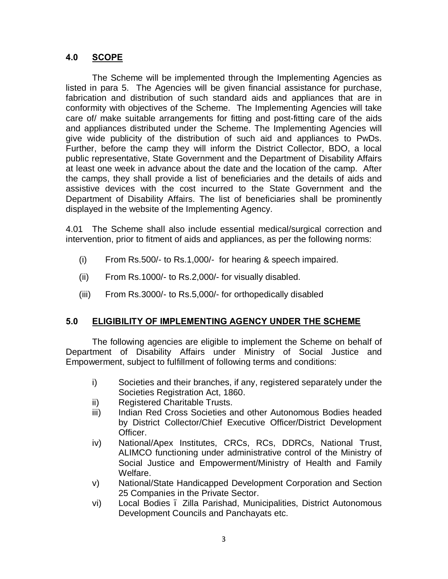## **4.0 SCOPE**

The Scheme will be implemented through the Implementing Agencies as listed in para 5. The Agencies will be given financial assistance for purchase, fabrication and distribution of such standard aids and appliances that are in conformity with objectives of the Scheme. The Implementing Agencies will take care of/ make suitable arrangements for fitting and post-fitting care of the aids and appliances distributed under the Scheme. The Implementing Agencies will give wide publicity of the distribution of such aid and appliances to PwDs. Further, before the camp they will inform the District Collector, BDO, a local public representative, State Government and the Department of Disability Affairs at least one week in advance about the date and the location of the camp. After the camps, they shall provide a list of beneficiaries and the details of aids and assistive devices with the cost incurred to the State Government and the Department of Disability Affairs. The list of beneficiaries shall be prominently displayed in the website of the Implementing Agency.

4.01 The Scheme shall also include essential medical/surgical correction and intervention, prior to fitment of aids and appliances, as per the following norms:

- (i) From Rs.500/- to Rs.1,000/- for hearing & speech impaired.
- (ii) From Rs.1000/- to Rs.2,000/- for visually disabled.
- (iii) From Rs.3000/- to Rs.5,000/- for orthopedically disabled

#### **5.0 ELIGIBILITY OF IMPLEMENTING AGENCY UNDER THE SCHEME**

The following agencies are eligible to implement the Scheme on behalf of Department of Disability Affairs under Ministry of Social Justice and Empowerment, subject to fulfillment of following terms and conditions:

- i) Societies and their branches, if any, registered separately under the Societies Registration Act, 1860.
- ii) Registered Charitable Trusts.
- iii) Indian Red Cross Societies and other Autonomous Bodies headed by District Collector/Chief Executive Officer/District Development Officer.
- iv) National/Apex Institutes, CRCs, RCs, DDRCs, National Trust, ALIMCO functioning under administrative control of the Ministry of Social Justice and Empowerment/Ministry of Health and Family Welfare.
- v) National/State Handicapped Development Corporation and Section 25 Companies in the Private Sector.
- vi) Local Bodies Zilla Parishad, Municipalities, District Autonomous Development Councils and Panchayats etc.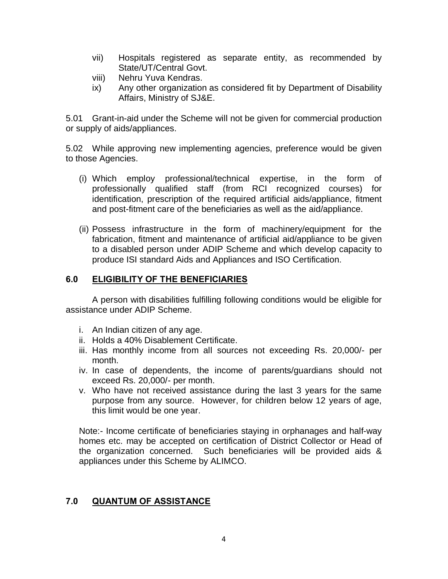- vii) Hospitals registered as separate entity, as recommended by State/UT/Central Govt.
- viii) Nehru Yuva Kendras.
- ix) Any other organization as considered fit by Department of Disability Affairs, Ministry of SJ&E.

5.01 Grant-in-aid under the Scheme will not be given for commercial production or supply of aids/appliances.

5.02 While approving new implementing agencies, preference would be given to those Agencies.

- (i) Which employ professional/technical expertise, in the form of professionally qualified staff (from RCI recognized courses) for identification, prescription of the required artificial aids/appliance, fitment and post-fitment care of the beneficiaries as well as the aid/appliance.
- (ii) Possess infrastructure in the form of machinery/equipment for the fabrication, fitment and maintenance of artificial aid/appliance to be given to a disabled person under ADIP Scheme and which develop capacity to produce ISI standard Aids and Appliances and ISO Certification.

#### **6.0 ELIGIBILITY OF THE BENEFICIARIES**

A person with disabilities fulfilling following conditions would be eligible for assistance under ADIP Scheme.

- i. An Indian citizen of any age.
- ii. Holds a 40% Disablement Certificate.
- iii. Has monthly income from all sources not exceeding Rs. 20,000/- per month.
- iv. In case of dependents, the income of parents/guardians should not exceed Rs. 20,000/- per month.
- v. Who have not received assistance during the last 3 years for the same purpose from any source. However, for children below 12 years of age, this limit would be one year.

Note:- Income certificate of beneficiaries staying in orphanages and half-way homes etc. may be accepted on certification of District Collector or Head of the organization concerned. Such beneficiaries will be provided aids & appliances under this Scheme by ALIMCO.

#### **7.0 QUANTUM OF ASSISTANCE**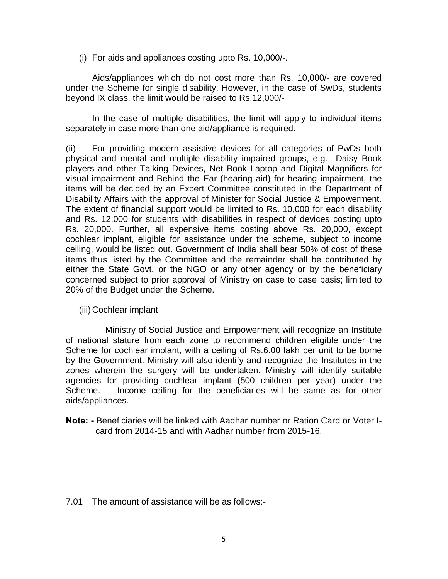(i) For aids and appliances costing upto Rs. 10,000/-.

Aids/appliances which do not cost more than Rs. 10,000/- are covered under the Scheme for single disability. However, in the case of SwDs, students beyond IX class, the limit would be raised to Rs.12,000/-

In the case of multiple disabilities, the limit will apply to individual items separately in case more than one aid/appliance is required.

(ii) For providing modern assistive devices for all categories of PwDs both physical and mental and multiple disability impaired groups, e.g. Daisy Book players and other Talking Devices, Net Book Laptop and Digital Magnifiers for visual impairment and Behind the Ear (hearing aid) for hearing impairment, the items will be decided by an Expert Committee constituted in the Department of Disability Affairs with the approval of Minister for Social Justice & Empowerment. The extent of financial support would be limited to Rs. 10,000 for each disability and Rs. 12,000 for students with disabilities in respect of devices costing upto Rs. 20,000. Further, all expensive items costing above Rs. 20,000, except cochlear implant, eligible for assistance under the scheme, subject to income ceiling, would be listed out. Government of India shall bear 50% of cost of these items thus listed by the Committee and the remainder shall be contributed by either the State Govt. or the NGO or any other agency or by the beneficiary concerned subject to prior approval of Ministry on case to case basis; limited to 20% of the Budget under the Scheme.

(iii) Cochlear implant

Ministry of Social Justice and Empowerment will recognize an Institute of national stature from each zone to recommend children eligible under the Scheme for cochlear implant, with a ceiling of Rs.6.00 lakh per unit to be borne by the Government. Ministry will also identify and recognize the Institutes in the zones wherein the surgery will be undertaken. Ministry will identify suitable agencies for providing cochlear implant (500 children per year) under the Scheme. Income ceiling for the beneficiaries will be same as for other aids/appliances.

**Note: -** Beneficiaries will be linked with Aadhar number or Ration Card or Voter Icard from 2014-15 and with Aadhar number from 2015-16.

7.01 The amount of assistance will be as follows:-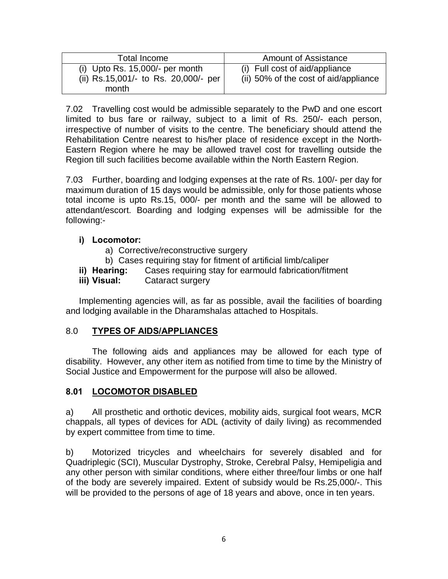| Total Income                                                                       | <b>Amount of Assistance</b>                                             |
|------------------------------------------------------------------------------------|-------------------------------------------------------------------------|
| (i) Upto Rs. $15,000/-$ per month<br>(ii) Rs.15,001/- to Rs. 20,000/- per<br>month | (i) Full cost of aid/appliance<br>(ii) 50% of the cost of aid/appliance |

7.02 Travelling cost would be admissible separately to the PwD and one escort limited to bus fare or railway, subject to a limit of Rs. 250/- each person, irrespective of number of visits to the centre. The beneficiary should attend the Rehabilitation Centre nearest to his/her place of residence except in the North-Eastern Region where he may be allowed travel cost for travelling outside the Region till such facilities become available within the North Eastern Region.

7.03 Further, boarding and lodging expenses at the rate of Rs. 100/- per day for maximum duration of 15 days would be admissible, only for those patients whose total income is upto Rs.15, 000/- per month and the same will be allowed to attendant/escort. Boarding and lodging expenses will be admissible for the following:-

## **i) Locomotor:**

- a) Corrective/reconstructive surgery
- b) Cases requiring stay for fitment of artificial limb/caliper
- **ii) Hearing:** Cases requiring stay for earmould fabrication/fitment

### **iii) Visual:** Cataract surgery

Implementing agencies will, as far as possible, avail the facilities of boarding and lodging available in the Dharamshalas attached to Hospitals.

## 8.0 **TYPES OF AIDS/APPLIANCES**

The following aids and appliances may be allowed for each type of disability. However, any other item as notified from time to time by the Ministry of Social Justice and Empowerment for the purpose will also be allowed.

#### **8.01 LOCOMOTOR DISABLED**

a) All prosthetic and orthotic devices, mobility aids, surgical foot wears, MCR chappals, all types of devices for ADL (activity of daily living) as recommended by expert committee from time to time.

b) Motorized tricycles and wheelchairs for severely disabled and for Quadriplegic (SCI), Muscular Dystrophy, Stroke, Cerebral Palsy, Hemipeligia and any other person with similar conditions, where either three/four limbs or one half of the body are severely impaired. Extent of subsidy would be Rs.25,000/-. This will be provided to the persons of age of 18 years and above, once in ten years.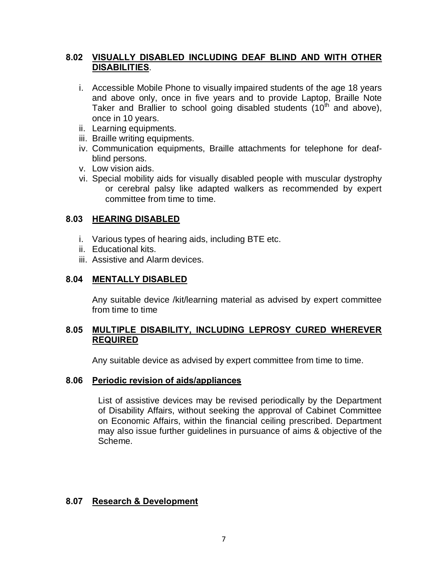## **8.02 VISUALLY DISABLED INCLUDING DEAF BLIND AND WITH OTHER DISABILITIES**.

- i. Accessible Mobile Phone to visually impaired students of the age 18 years and above only, once in five years and to provide Laptop, Braille Note Taker and Brallier to school going disabled students  $(10<sup>th</sup>$  and above), once in 10 years.
- ii. Learning equipments.
- iii. Braille writing equipments.
- iv. Communication equipments, Braille attachments for telephone for deafblind persons.
- v. Low vision aids.
- vi. Special mobility aids for visually disabled people with muscular dystrophy or cerebral palsy like adapted walkers as recommended by expert committee from time to time.

#### **8.03 HEARING DISABLED**

- i. Various types of hearing aids, including BTE etc.
- ii. Educational kits.
- iii. Assistive and Alarm devices.

#### **8.04 MENTALLY DISABLED**

Any suitable device /kit/learning material as advised by expert committee from time to time

#### **8.05 MULTIPLE DISABILITY, INCLUDING LEPROSY CURED WHEREVER REQUIRED**

Any suitable device as advised by expert committee from time to time.

#### **8.06 Periodic revision of aids/appliances**

List of assistive devices may be revised periodically by the Department of Disability Affairs, without seeking the approval of Cabinet Committee on Economic Affairs, within the financial ceiling prescribed. Department may also issue further guidelines in pursuance of aims & objective of the Scheme.

#### **8.07 Research & Development**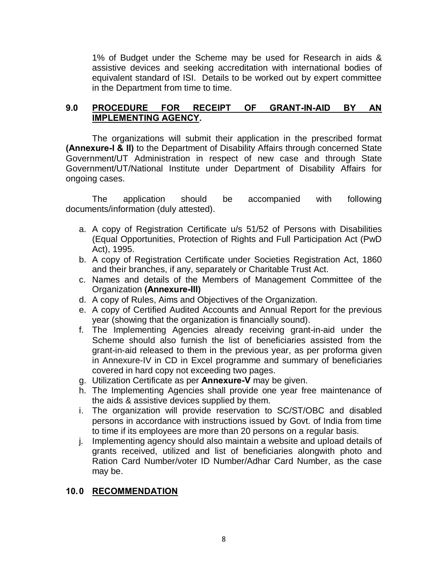1% of Budget under the Scheme may be used for Research in aids & assistive devices and seeking accreditation with international bodies of equivalent standard of ISI. Details to be worked out by expert committee in the Department from time to time.

### **9.0 PROCEDURE FOR RECEIPT OF GRANT-IN-AID BY AN IMPLEMENTING AGENCY.**

The organizations will submit their application in the prescribed format **(Annexure-I & II)** to the Department of Disability Affairs through concerned State Government/UT Administration in respect of new case and through State Government/UT/National Institute under Department of Disability Affairs for ongoing cases.

The application should be accompanied with following documents/information (duly attested).

- a. A copy of Registration Certificate u/s 51/52 of Persons with Disabilities (Equal Opportunities, Protection of Rights and Full Participation Act (PwD Act), 1995.
- b. A copy of Registration Certificate under Societies Registration Act, 1860 and their branches, if any, separately or Charitable Trust Act.
- c. Names and details of the Members of Management Committee of the Organization **(Annexure-III)**
- d. A copy of Rules, Aims and Objectives of the Organization.
- e. A copy of Certified Audited Accounts and Annual Report for the previous year (showing that the organization is financially sound).
- f. The Implementing Agencies already receiving grant-in-aid under the Scheme should also furnish the list of beneficiaries assisted from the grant-in-aid released to them in the previous year, as per proforma given in Annexure-IV in CD in Excel programme and summary of beneficiaries covered in hard copy not exceeding two pages.
- g. Utilization Certificate as per **Annexure-V** may be given.
- h. The Implementing Agencies shall provide one year free maintenance of the aids & assistive devices supplied by them.
- i. The organization will provide reservation to SC/ST/OBC and disabled persons in accordance with instructions issued by Govt. of India from time to time if its employees are more than 20 persons on a regular basis.
- j. Implementing agency should also maintain a website and upload details of grants received, utilized and list of beneficiaries alongwith photo and Ration Card Number/voter ID Number/Adhar Card Number, as the case may be.

## **10.0 RECOMMENDATION**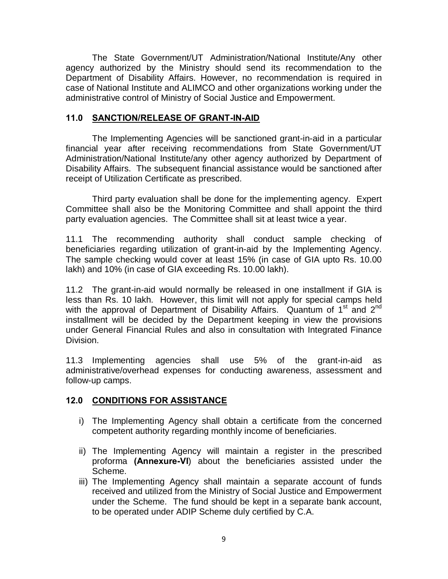The State Government/UT Administration/National Institute/Any other agency authorized by the Ministry should send its recommendation to the Department of Disability Affairs. However, no recommendation is required in case of National Institute and ALIMCO and other organizations working under the administrative control of Ministry of Social Justice and Empowerment.

### **11.0 SANCTION/RELEASE OF GRANT-IN-AID**

The Implementing Agencies will be sanctioned grant-in-aid in a particular financial year after receiving recommendations from State Government/UT Administration/National Institute/any other agency authorized by Department of Disability Affairs. The subsequent financial assistance would be sanctioned after receipt of Utilization Certificate as prescribed.

Third party evaluation shall be done for the implementing agency. Expert Committee shall also be the Monitoring Committee and shall appoint the third party evaluation agencies. The Committee shall sit at least twice a year.

11.1 The recommending authority shall conduct sample checking of beneficiaries regarding utilization of grant-in-aid by the Implementing Agency. The sample checking would cover at least 15% (in case of GIA upto Rs. 10.00 lakh) and 10% (in case of GIA exceeding Rs. 10.00 lakh).

11.2 The grant-in-aid would normally be released in one installment if GIA is less than Rs. 10 lakh. However, this limit will not apply for special camps held with the approval of Department of Disability Affairs. Quantum of 1<sup>st</sup> and 2<sup>nd</sup> installment will be decided by the Department keeping in view the provisions under General Financial Rules and also in consultation with Integrated Finance Division.

11.3 Implementing agencies shall use 5% of the grant-in-aid as administrative/overhead expenses for conducting awareness, assessment and follow-up camps.

#### **12.0 CONDITIONS FOR ASSISTANCE**

- i) The Implementing Agency shall obtain a certificate from the concerned competent authority regarding monthly income of beneficiaries.
- ii) The Implementing Agency will maintain a register in the prescribed proforma **(Annexure-VI**) about the beneficiaries assisted under the Scheme.
- iii) The Implementing Agency shall maintain a separate account of funds received and utilized from the Ministry of Social Justice and Empowerment under the Scheme. The fund should be kept in a separate bank account, to be operated under ADIP Scheme duly certified by C.A.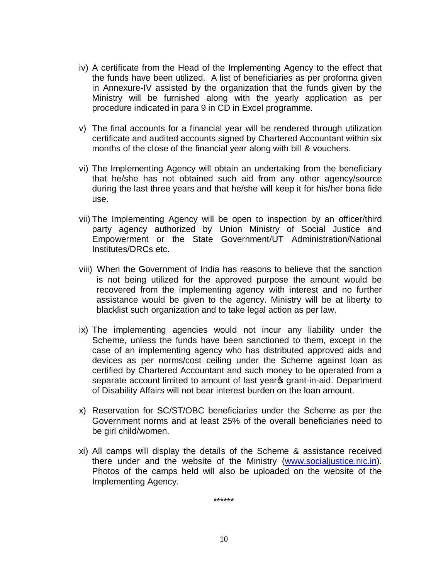- iv) A certificate from the Head of the Implementing Agency to the effect that the funds have been utilized. A list of beneficiaries as per proforma given in Annexure-IV assisted by the organization that the funds given by the Ministry will be furnished along with the yearly application as per procedure indicated in para 9 in CD in Excel programme.
- v) The final accounts for a financial year will be rendered through utilization certificate and audited accounts signed by Chartered Accountant within six months of the close of the financial year along with bill & vouchers.
- vi) The Implementing Agency will obtain an undertaking from the beneficiary that he/she has not obtained such aid from any other agency/source during the last three years and that he/she will keep it for his/her bona fide use.
- vii) The Implementing Agency will be open to inspection by an officer/third party agency authorized by Union Ministry of Social Justice and Empowerment or the State Government/UT Administration/National Institutes/DRCs etc.
- viii) When the Government of India has reasons to believe that the sanction is not being utilized for the approved purpose the amount would be recovered from the implementing agency with interest and no further assistance would be given to the agency. Ministry will be at liberty to blacklist such organization and to take legal action as per law.
- ix) The implementing agencies would not incur any liability under the Scheme, unless the funds have been sanctioned to them, except in the case of an implementing agency who has distributed approved aids and devices as per norms/cost ceiling under the Scheme against loan as certified by Chartered Accountant and such money to be operated from a separate account limited to amount of last year optaint-in-aid. Department of Disability Affairs will not bear interest burden on the loan amount.
- x) Reservation for SC/ST/OBC beneficiaries under the Scheme as per the Government norms and at least 25% of the overall beneficiaries need to be girl child/women.
- xi) All camps will display the details of the Scheme & assistance received there under and the website of the Ministry [\(www.socialjustice.nic.in\)](http://www.socialjustice.nic.in/). Photos of the camps held will also be uploaded on the website of the Implementing Agency.

\*\*\*\*\*\*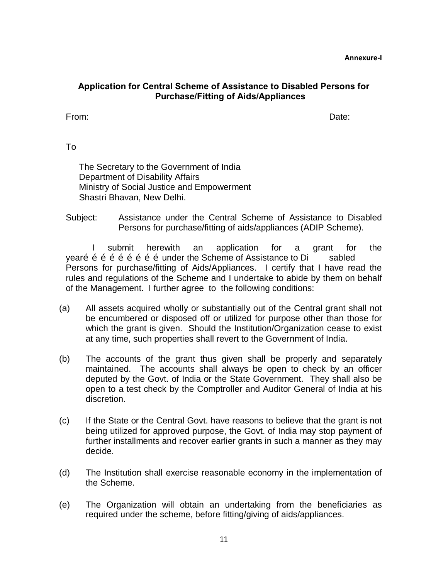**Annexure-I**

### **Application for Central Scheme of Assistance to Disabled Persons for Purchase/Fitting of Aids/Appliances**

From: Date:

To

The Secretary to the Government of India Department of Disability Affairs Ministry of Social Justice and Empowerment Shastri Bhavan, New Delhi.

Subject: Assistance under the Central Scheme of Assistance to Disabled Persons for purchase/fitting of aids/appliances (ADIP Scheme).

I submit herewith an application for a grant for the vear $\tilde{p}$   $\tilde{p}$   $\tilde{p}$   $\tilde{p}$   $\tilde{p}$   $\tilde{p}$   $\tilde{p}$   $\tilde{p}$   $\tilde{p}$  of the Scheme of Assistance to Di sabled Persons for purchase/fitting of Aids/Appliances. I certify that I have read the rules and regulations of the Scheme and I undertake to abide by them on behalf of the Management. I further agree to the following conditions:

- (a) All assets acquired wholly or substantially out of the Central grant shall not be encumbered or disposed off or utilized for purpose other than those for which the grant is given. Should the Institution/Organization cease to exist at any time, such properties shall revert to the Government of India.
- (b) The accounts of the grant thus given shall be properly and separately maintained. The accounts shall always be open to check by an officer deputed by the Govt. of India or the State Government. They shall also be open to a test check by the Comptroller and Auditor General of India at his discretion.
- (c) If the State or the Central Govt. have reasons to believe that the grant is not being utilized for approved purpose, the Govt. of India may stop payment of further installments and recover earlier grants in such a manner as they may decide.
- (d) The Institution shall exercise reasonable economy in the implementation of the Scheme.
- (e) The Organization will obtain an undertaking from the beneficiaries as required under the scheme, before fitting/giving of aids/appliances.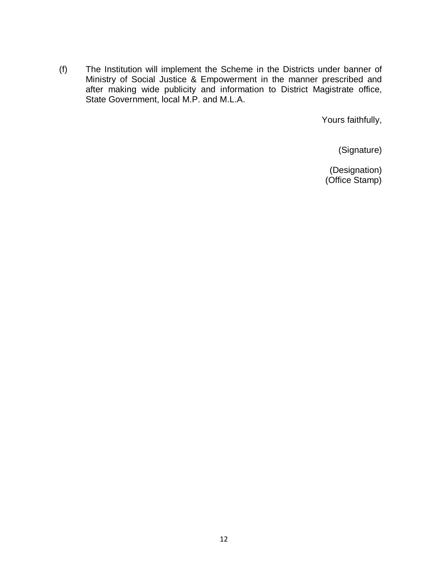(f) The Institution will implement the Scheme in the Districts under banner of Ministry of Social Justice & Empowerment in the manner prescribed and after making wide publicity and information to District Magistrate office, State Government, local M.P. and M.L.A.

Yours faithfully,

(Signature)

(Designation) (Office Stamp)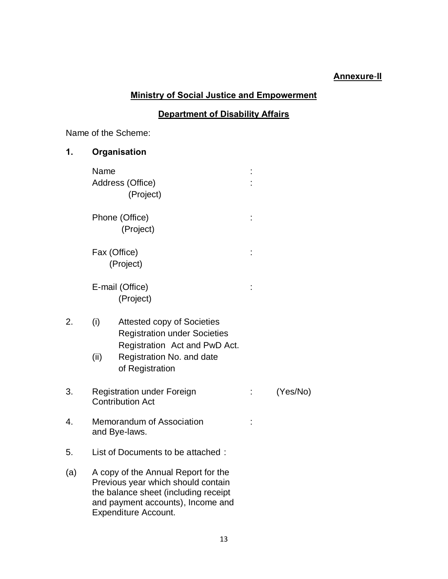### **Annexure**-**II**

# **Ministry of Social Justice and Empowerment**

## **Department of Disability Affairs**

Name of the Scheme:

| 1.  |             | Organisation                                                                                                                                                                          |   |          |
|-----|-------------|---------------------------------------------------------------------------------------------------------------------------------------------------------------------------------------|---|----------|
|     | Name        | Address (Office)<br>(Project)                                                                                                                                                         |   |          |
|     |             | Phone (Office)<br>(Project)                                                                                                                                                           | İ |          |
|     |             | Fax (Office)<br>(Project)                                                                                                                                                             |   |          |
|     |             | E-mail (Office)<br>(Project)                                                                                                                                                          |   |          |
| 2.  | (i)<br>(ii) | Attested copy of Societies<br><b>Registration under Societies</b><br>Registration Act and PwD Act.<br>Registration No. and date<br>of Registration                                    |   |          |
| 3.  |             | <b>Registration under Foreign</b><br><b>Contribution Act</b>                                                                                                                          |   | (Yes/No) |
| 4.  |             | Memorandum of Association<br>and Bye-laws.                                                                                                                                            |   |          |
| 5.  |             | List of Documents to be attached:                                                                                                                                                     |   |          |
| (a) |             | A copy of the Annual Report for the<br>Previous year which should contain<br>the balance sheet (including receipt<br>and payment accounts), Income and<br><b>Expenditure Account.</b> |   |          |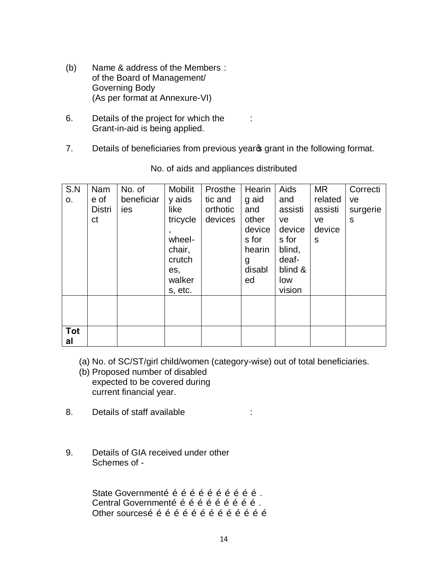- (b) Name & address of the Members : of the Board of Management/ Governing Body (As per format at Annexure-VI)
- 6. Details of the project for which the : Grant-in-aid is being applied.
- 7. Details of beneficiaries from previous years grant in the following format.

| S.N        | Nam           | No. of     | <b>Mobilit</b> | Prosthe  | Hearin | Aids    | MR.     | Correcti |
|------------|---------------|------------|----------------|----------|--------|---------|---------|----------|
| 0.         | e of          | beneficiar | y aids         | tic and  | g aid  | and     | related | ve       |
|            | <b>Distri</b> | ies        | like           | orthotic | and    | assisti | assisti | surgerie |
|            | ct            |            | tricycle       | devices  | other  | ve.     | ve      | S        |
|            |               |            |                |          | device | device  | device  |          |
|            |               |            | wheel-         |          | s for  | s for   | S       |          |
|            |               |            | chair,         |          | hearin | blind,  |         |          |
|            |               |            | crutch         |          | g      | deaf-   |         |          |
|            |               |            | es,            |          | disabl | blind & |         |          |
|            |               |            | walker         |          | ed     | low     |         |          |
|            |               |            | s, etc.        |          |        | vision  |         |          |
|            |               |            |                |          |        |         |         |          |
|            |               |            |                |          |        |         |         |          |
|            |               |            |                |          |        |         |         |          |
| <b>Tot</b> |               |            |                |          |        |         |         |          |
| al         |               |            |                |          |        |         |         |          |

No. of aids and appliances distributed

(a) No. of SC/ST/girl child/women (category-wise) out of total beneficiaries.

- (b) Proposed number of disabled expected to be covered during current financial year.
- 8. Details of staff available **in the State State** is
- 9. Details of GIA received under other Schemes of -

State Governmentõ õ õ õ õ õ õ õ õ õ õ . Central Governmento o o o o o o o o o . Other sourceso o o o o o o o o o o o o o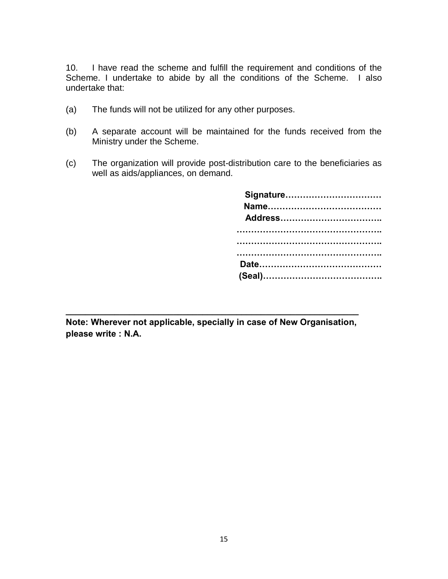10. I have read the scheme and fulfill the requirement and conditions of the Scheme. I undertake to abide by all the conditions of the Scheme. I also undertake that:

- (a) The funds will not be utilized for any other purposes.
- (b) A separate account will be maintained for the funds received from the Ministry under the Scheme.
- (c) The organization will provide post-distribution care to the beneficiaries as well as aids/appliances, on demand.

| Signature |  |
|-----------|--|
|           |  |
|           |  |
|           |  |
|           |  |
|           |  |
|           |  |
|           |  |

**Note: Wherever not applicable, specially in case of New Organisation, please write : N.A.**

**\_\_\_\_\_\_\_\_\_\_\_\_\_\_\_\_\_\_\_\_\_\_\_\_\_\_\_\_\_\_\_\_\_\_\_\_\_\_\_\_\_\_\_\_\_\_\_\_\_\_\_\_\_\_\_\_\_\_\_\_**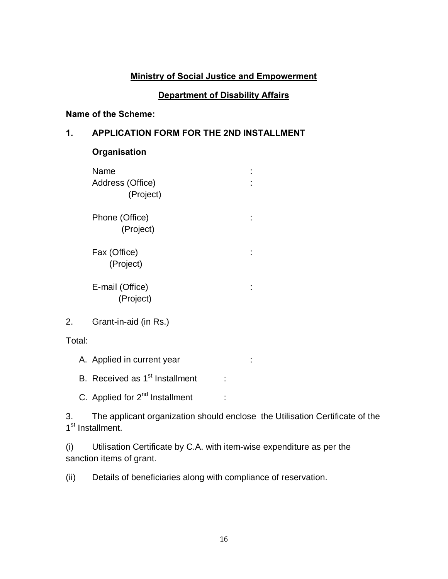### **Ministry of Social Justice and Empowerment**

### **Department of Disability Affairs**

### **Name of the Scheme:**

### **1. APPLICATION FORM FOR THE 2ND INSTALLMENT**

### **Organisation**

| Name<br>Address (Office)<br>(Project) |  |
|---------------------------------------|--|
| Phone (Office)<br>(Project)           |  |
| Fax (Office)<br>(Project)             |  |
| E-mail (Office)<br>(Project)          |  |

Total:

A. Applied in current year in the state of the state of the state of the state of the state of the state of the state of the state of the state of the state of the state of the state of the state of the state of the state

B. Received as  $1<sup>st</sup>$  Installment :

C. Applied for  $2^{nd}$  Installment :

3. The applicant organization should enclose the Utilisation Certificate of the 1<sup>st</sup> Installment.

(i) Utilisation Certificate by C.A. with item-wise expenditure as per the sanction items of grant.

(ii) Details of beneficiaries along with compliance of reservation.

<sup>2.</sup> Grant-in-aid (in Rs.)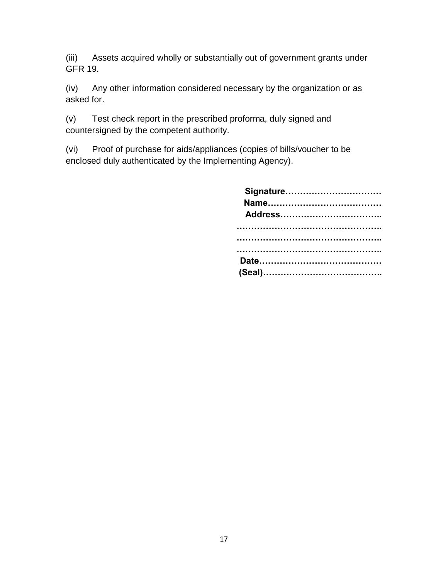(iii) Assets acquired wholly or substantially out of government grants under GFR 19.

(iv) Any other information considered necessary by the organization or as asked for.

(v) Test check report in the prescribed proforma, duly signed and countersigned by the competent authority.

(vi) Proof of purchase for aids/appliances (copies of bills/voucher to be enclosed duly authenticated by the Implementing Agency).

| Signature |
|-----------|
|           |
|           |
|           |
|           |
|           |
|           |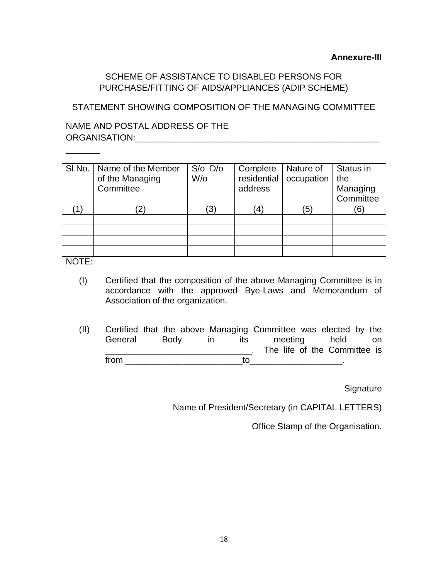## SCHEME OF ASSISTANCE TO DISABLED PERSONS FOR PURCHASE/FITTING OF AIDS/APPLIANCES (ADIP SCHEME)

STATEMENT SHOWING COMPOSITION OF THE MANAGING COMMITTEE

NAME AND POSTAL ADDRESS OF THE ORGANISATION:\_\_\_\_\_\_\_\_\_\_\_\_\_\_\_\_\_\_\_\_\_\_\_\_\_\_\_\_\_\_\_\_\_\_\_\_\_\_\_\_\_\_\_\_\_\_\_\_\_\_

| SI.No.   Name of the Member<br>of the Managing<br>Committee | $S/O$ $D/O$<br>W/o     | Complete<br>residential<br>address | Nature of<br>occupation | Status in<br>the<br>Managing<br>Committee |
|-------------------------------------------------------------|------------------------|------------------------------------|-------------------------|-------------------------------------------|
| 2)                                                          | $\left 3\right\rangle$ |                                    | ΄5                      | 6                                         |
|                                                             |                        |                                    |                         |                                           |
|                                                             |                        |                                    |                         |                                           |
|                                                             |                        |                                    |                         |                                           |
|                                                             |                        |                                    |                         |                                           |

NOTE:

 $\overline{\phantom{a}}$ 

- (I) Certified that the composition of the above Managing Committee is in accordance with the approved Bye-Laws and Memorandum of Association of the organization.
- (II) Certified that the above Managing Committee was elected by the General Body in its meeting held on **EXECUTE:** The life of the Committee is  $from$   $\begin{array}{cccccccccccccc} \text{from} & \begin{array}{cccccccccc} \text{from} & \begin{array}{cccccccccc} \text{from} & \begin{array}{cccccccccc} \text{from} & \begin{array}{cccccccccc} \text{from} & \begin{array}{cccccccccc} \text{from} & \begin{array}{cccccccccc} \text{from} & \begin{array}{cccccccccc} \text{from} & \begin{array}{cccccccccc} \text{from} & \begin{array}{cccccccccc} \text{from} & \begin{array}{cccccccccc} \text{from} & \begin{array}{cccccccccc} \text{from} & \begin{array}{cccccccccc} \text{from} & \begin{array}{cccccccccc} \text{from} & \begin{array}{$

**Signature** 

Name of President/Secretary (in CAPITAL LETTERS)

Office Stamp of the Organisation.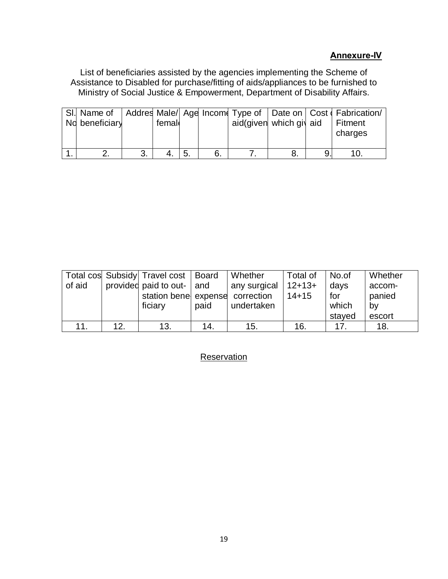### **Annexure-IV**

List of beneficiaries assisted by the agencies implementing the Scheme of Assistance to Disabled for purchase/fitting of aids/appliances to be furnished to Ministry of Social Justice & Empowerment, Department of Disability Affairs.

| No beneficiary | femal |     | aid(given which giv aid |  | SI. Name of   Addres Male/  Age Income Type of   Date on   Cost   Fabrication/<br>  Fitment<br>charges |
|----------------|-------|-----|-------------------------|--|--------------------------------------------------------------------------------------------------------|
|                | 4.    | ⊩5. |                         |  |                                                                                                        |

|        |     | Total cos Subsidy Travel cost   Board |      | Whether                 | Total of | No.of  | Whether |
|--------|-----|---------------------------------------|------|-------------------------|----------|--------|---------|
| of aid |     | provided paid to out- and             |      | any surgical   $12+13+$ |          | days   | accom-  |
|        |     | station bene expense correction       |      |                         | $14+15$  | for    | panied  |
|        |     | ficiary                               | paid | undertaken              |          | which  | bv      |
|        |     |                                       |      |                         |          | stayed | escort  |
| 11.    | 12. | 13.                                   | 14.  | 15.                     | 16.      | 17     | 18.     |

## **Reservation**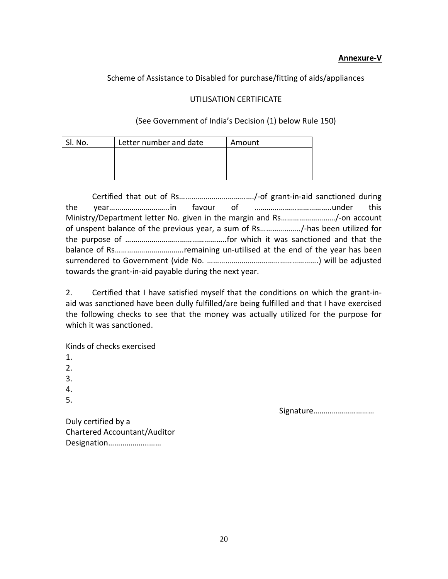#### **Annexure-V**

#### Scheme of Assistance to Disabled for purchase/fitting of aids/appliances

#### UTILISATION CERTIFICATE

#### (See Government of India's Decision (1) below Rule 150)

| SI. No. | Letter number and date | Amount |
|---------|------------------------|--------|
|         |                        |        |
|         |                        |        |
|         |                        |        |

Certified that out of Rs………………………………./-of grant-in-aid sanctioned during the year…………………………in favour of ………………………………..under this Ministry/Department letter No. given in the margin and Rs………………………/-on account of unspent balance of the previous year, a sum of Rs………………../-has been utilized for the purpose of …………………………………………..for which it was sanctioned and that the balance of Rs…………………………….remaining un-utilised at the end of the year has been surrendered to Government (vide No. ……………………………………………….) will be adjusted towards the grant-in-aid payable during the next year.

2. Certified that I have satisfied myself that the conditions on which the grant-inaid was sanctioned have been dully fulfilled/are being fulfilled and that I have exercised the following checks to see that the money was actually utilized for the purpose for which it was sanctioned.

Kinds of checks exercised

- 1.
- 2.
- 3.
- 4.
- 5.

Signature…………………………

Duly certified by a Chartered Accountant/Auditor Designation………………..……